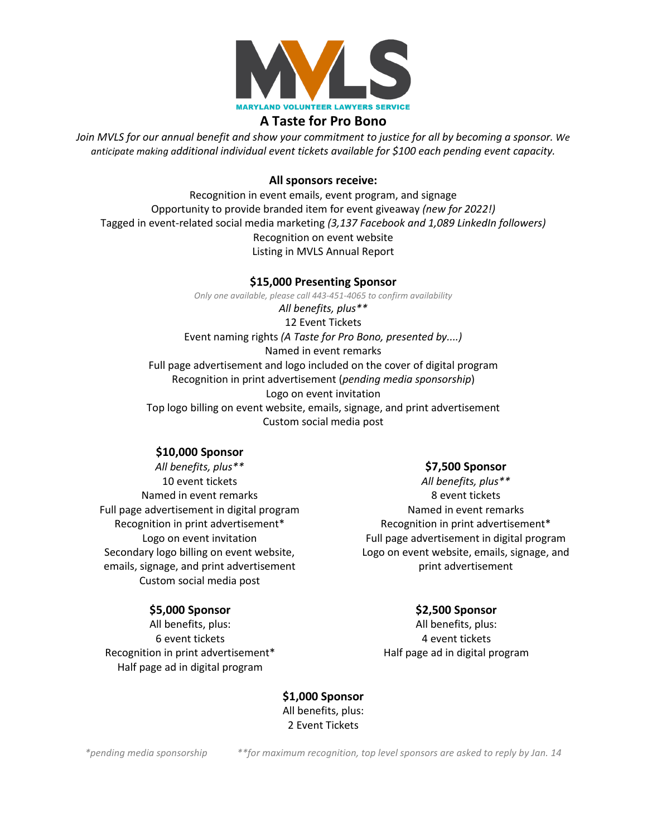

# **A Taste for Pro Bono**

*Join MVLS for our annual benefit and show your commitment to justice for all by becoming a sponsor. We anticipate making additional individual event tickets available for \$100 each pending event capacity.* 

## **All sponsors receive:**

Recognition in event emails, event program, and signage Opportunity to provide branded item for event giveaway *(new for 2022!)* Tagged in event-related social media marketing *(3,137 Facebook and 1,089 LinkedIn followers)* Recognition on event website Listing in MVLS Annual Report

### **\$15,000 Presenting Sponsor**

*Only one available, please call 443-451-4065 to confirm availability All benefits, plus\*\** 12 Event Tickets Event naming rights *(A Taste for Pro Bono, presented by....)* Named in event remarks Full page advertisement and logo included on the cover of digital program Recognition in print advertisement (*pending media sponsorship*) Logo on event invitation Top logo billing on event website, emails, signage, and print advertisement Custom social media post

### **\$10,000 Sponsor**

*All benefits, plus\*\** 10 event tickets Named in event remarks Full page advertisement in digital program Recognition in print advertisement\* Logo on event invitation Secondary logo billing on event website, emails, signage, and print advertisement Custom social media post

### **\$5,000 Sponsor**

All benefits, plus: 6 event tickets Recognition in print advertisement\* Half page ad in digital program

#### **\$7,500 Sponsor**

*All benefits, plus\*\** 8 event tickets Named in event remarks Recognition in print advertisement\* Full page advertisement in digital program Logo on event website, emails, signage, and print advertisement

# **\$2,500 Sponsor**

All benefits, plus: 4 event tickets Half page ad in digital program

**\$1,000 Sponsor** All benefits, plus: 2 Event Tickets

*\*pending media sponsorship \*\*for maximum recognition, top level sponsors are asked to reply by Jan. 14*